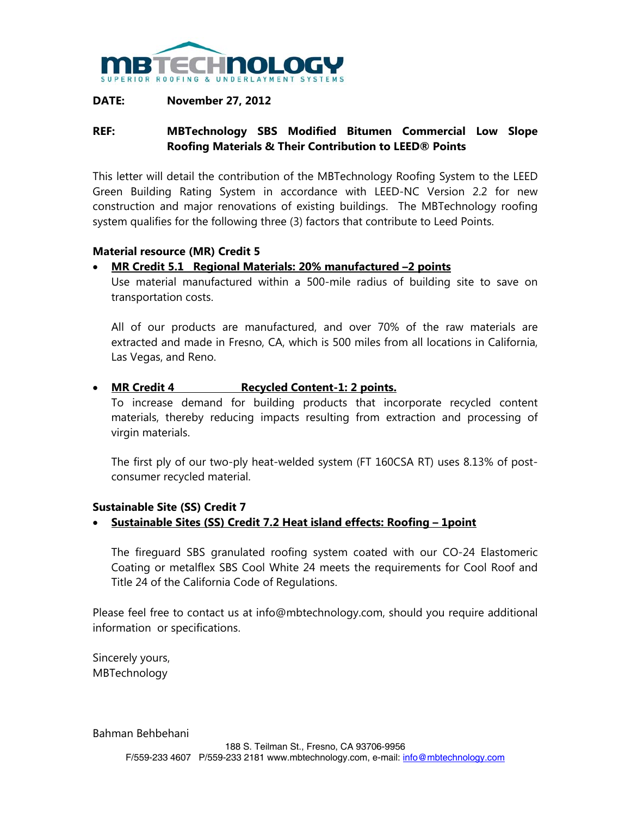

## **DATE: November 27, 2012**

# **REF: MBTechnology SBS Modified Bitumen Commercial Low Slope Roofing Materials & Their Contribution to LEED® Points**

This letter will detail the contribution of the MBTechnology Roofing System to the LEED Green Building Rating System in accordance with LEED-NC Version 2.2 for new construction and major renovations of existing buildings. The MBTechnology roofing system qualifies for the following three (3) factors that contribute to Leed Points.

## **Material resource (MR) Credit 5**

## • **MR Credit 5.1 Regional Materials: 20% manufactured –2 points**

Use material manufactured within a 500-mile radius of building site to save on transportation costs.

All of our products are manufactured, and over 70% of the raw materials are extracted and made in Fresno, CA, which is 500 miles from all locations in California, Las Vegas, and Reno.

## • **MR Credit 4 Recycled Content-1: 2 points.**

To increase demand for building products that incorporate recycled content materials, thereby reducing impacts resulting from extraction and processing of virgin materials.

The first ply of our two-ply heat-welded system (FT 160CSA RT) uses 8.13% of postconsumer recycled material.

## **Sustainable Site (SS) Credit 7**

## • **Sustainable Sites (SS) Credit 7.2 Heat island effects: Roofing – 1point**

The fireguard SBS granulated roofing system coated with our CO-24 Elastomeric Coating or metalflex SBS Cool White 24 meets the requirements for Cool Roof and Title 24 of the California Code of Regulations.

Please feel free to contact us at info@mbtechnology.com, should you require additional information or specifications.

Sincerely yours, MBTechnology

Bahman Behbehani